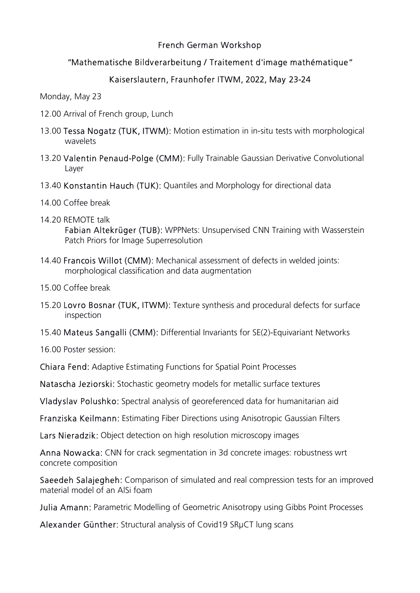## French German Workshop

## "Mathematische Bildverarbeitung / Traitement d'image mathématique"

## Kaiserslautern, Fraunhofer ITWM, 2022, May 23-24

Monday, May 23

- 12.00 Arrival of French group, Lunch
- 13.00 Tessa Nogatz (TUK, ITWM): Motion estimation in in-situ tests with morphological wavelets
- 13.20 Valentin Penaud-Polge (CMM): Fully Trainable Gaussian Derivative Convolutional Layer
- 13.40 Konstantin Hauch (TUK): Quantiles and Morphology for directional data
- 14.00 Coffee break
- 14.20 REMOTE talk Fabian Altekrüger (TUB): WPPNets: Unsupervised CNN Training with Wasserstein Patch Priors for Image Superresolution
- 14.40 Francois Willot (CMM): Mechanical assessment of defects in welded joints: morphological classification and data augmentation
- 15.00 Coffee break
- 15.20 Lovro Bosnar (TUK, ITWM): Texture synthesis and procedural defects for surface inspection
- 15.40 Mateus Sangalli (CMM): Differential Invariants for SE(2)-Equivariant Networks

16.00 Poster session:

Chiara Fend: Adaptive Estimating Functions for Spatial Point Processes

Natascha Jeziorski: Stochastic geometry models for metallic surface textures

Vladyslav Polushko: Spectral analysis of georeferenced data for humanitarian aid

Franziska Keilmann: Estimating Fiber Directions using Anisotropic Gaussian Filters

Lars Nieradzik: Object detection on high resolution microscopy images

Anna Nowacka: CNN for crack segmentation in 3d concrete images: robustness wrt concrete composition

Saeedeh Salajegheh: Comparison of simulated and real compression tests for an improved material model of an AlSi foam

Julia Amann: Parametric Modelling of Geometric Anisotropy using Gibbs Point Processes

Alexander Günther: Structural analysis of Covid19 SRµCT lung scans